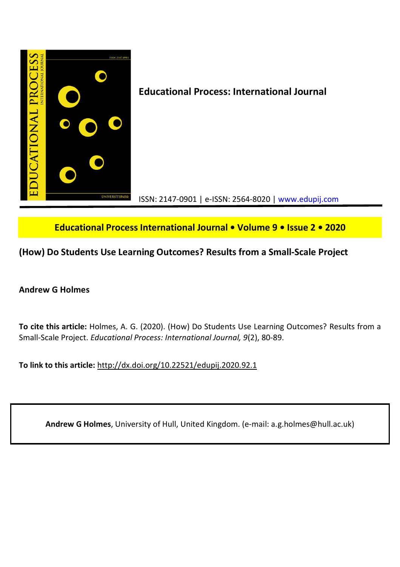

**Educational Process International Journal • Volume 9 • Issue 2 • 2020**

**(How) Do Students Use Learning Outcomes? Results from a Small-Scale Project**

# **Andrew G Holmes**

**To cite this article:** Holmes, A. G. (2020). (How) Do Students Use Learning Outcomes? Results from a Small-Scale Project. *Educational Process: International Journal, 9*(2), 80-89.

**To link to this article:** http://dx.doi.org/10.22521/edupij.2020.92.1

**Andrew G Holmes**, University of Hull, United Kingdom. (e-mail: a.g.holmes@hull.ac.uk)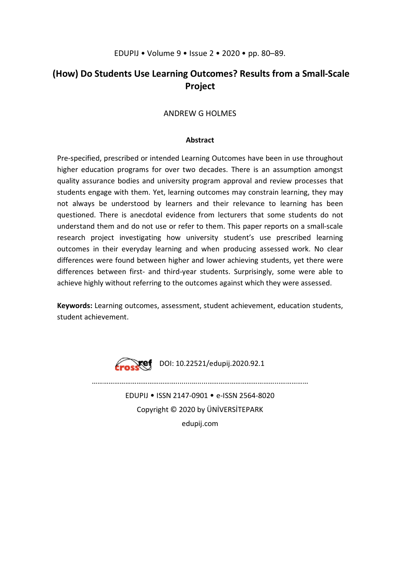# EDUPIJ • Volume 9 • Issue 2 • 2020 • pp. 80–89.

# **(How) Do Students Use Learning Outcomes? Results from a Small-Scale Project**

# ANDREW G HOLMES

## **Abstract**

Pre-specified, prescribed or intended Learning Outcomes have been in use throughout higher education programs for over two decades. There is an assumption amongst quality assurance bodies and university program approval and review processes that students engage with them. Yet, learning outcomes may constrain learning, they may not always be understood by learners and their relevance to learning has been questioned. There is anecdotal evidence from lecturers that some students do not understand them and do not use or refer to them. This paper reports on a small-scale research project investigating how university student's use prescribed learning outcomes in their everyday learning and when producing assessed work. No clear differences were found between higher and lower achieving students, yet there were differences between first- and third-year students. Surprisingly, some were able to achieve highly without referring to the outcomes against which they were assessed.

**Keywords:** Learning outcomes, assessment, student achievement, education students, student achievement.



EDUPIJ • ISSN 2147-0901 • e-ISSN 2564-8020 Copyright © 2020 by ÜNİVERSİTEPARK edupij.com

………………………………………........….....………………………………...……………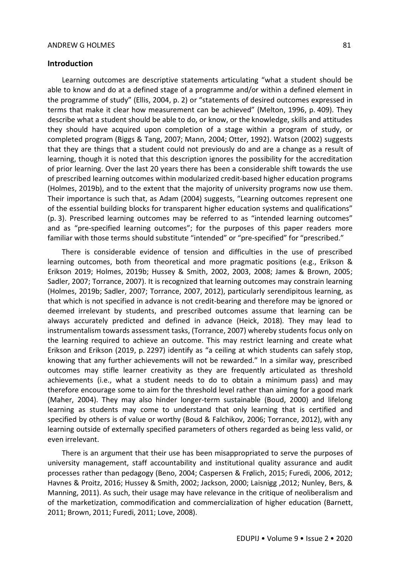### **Introduction**

Learning outcomes are descriptive statements articulating "what a student should be able to know and do at a defined stage of a programme and/or within a defined element in the programme of study" (Ellis, 2004, p. 2) or "statements of desired outcomes expressed in terms that make it clear how measurement can be achieved" (Melton, 1996, p. 409). They describe what a student should be able to do, or know, or the knowledge, skills and attitudes they should have acquired upon completion of a stage within a program of study, or completed program (Biggs & Tang, 2007; Mann, 2004; Otter, 1992). Watson (2002) suggests that they are things that a student could not previously do and are a change as a result of learning, though it is noted that this description ignores the possibility for the accreditation of prior learning. Over the last 20 years there has been a considerable shift towards the use of prescribed learning outcomes within modularized credit-based higher education programs (Holmes, 2019b), and to the extent that the majority of university programs now use them. Their importance is such that, as Adam (2004) suggests, "Learning outcomes represent one of the essential building blocks for transparent higher education systems and qualifications" (p. 3). Prescribed learning outcomes may be referred to as "intended learning outcomes" and as "pre-specified learning outcomes"; for the purposes of this paper readers more familiar with those terms should substitute "intended" or "pre-specified" for "prescribed."

There is considerable evidence of tension and difficulties in the use of prescribed learning outcomes, both from theoretical and more pragmatic positions (e.g., Erikson & Erikson 2019; Holmes, 2019b; Hussey & Smith, 2002, 2003, 2008; James & Brown, 2005; Sadler, 2007; Torrance, 2007). It is recognized that learning outcomes may constrain learning (Holmes, 2019b; Sadler, 2007; Torrance, 2007, 2012), particularly serendipitous learning, as that which is not specified in advance is not credit-bearing and therefore may be ignored or deemed irrelevant by students, and prescribed outcomes assume that learning can be always accurately predicted and defined in advance (Heick, 2018). They may lead to instrumentalism towards assessment tasks, (Torrance, 2007) whereby students focus only on the learning required to achieve an outcome. This may restrict learning and create what Erikson and Erikson (2019, p. 2297) identify as "a ceiling at which students can safely stop, knowing that any further achievements will not be rewarded." In a similar way, prescribed outcomes may stifle learner creativity as they are frequently articulated as threshold achievements (i.e., what a student needs to do to obtain a minimum pass) and may therefore encourage some to aim for the threshold level rather than aiming for a good mark (Maher, 2004). They may also hinder longer-term sustainable (Boud, 2000) and lifelong learning as students may come to understand that only learning that is certified and specified by others is of value or worthy (Boud & Falchikov, 2006; Torrance, 2012), with any learning outside of externally specified parameters of others regarded as being less valid, or even irrelevant.

There is an argument that their use has been misappropriated to serve the purposes of university management, staff accountability and institutional quality assurance and audit processes rather than pedagogy (Beno, 2004; Caspersen & Frølich, 2015; Furedi, 2006, 2012; Havnes & Proitz, 2016; Hussey & Smith, 2002; Jackson, 2000; Laisnigg ,2012; Nunley, Bers, & Manning, 2011). As such, their usage may have relevance in the critique of neoliberalism and of the marketization, commodification and commercialization of higher education (Barnett, 2011; Brown, 2011; Furedi, 2011; Love, 2008).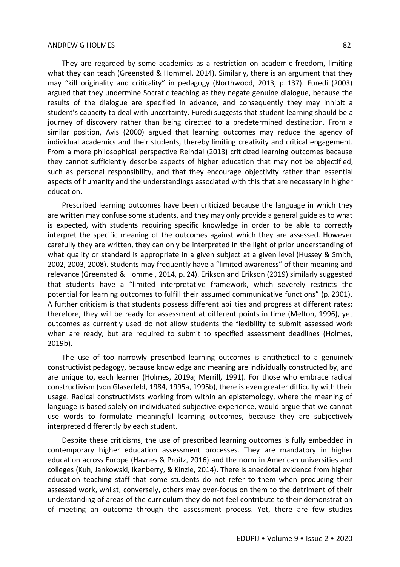They are regarded by some academics as a restriction on academic freedom, limiting what they can teach (Greensted & Hommel, 2014). Similarly, there is an argument that they may "kill originality and criticality" in pedagogy (Northwood, 2013, p. 137). Furedi (2003) argued that they undermine Socratic teaching as they negate genuine dialogue, because the results of the dialogue are specified in advance, and consequently they may inhibit a student's capacity to deal with uncertainty. Furedi suggests that student learning should be a journey of discovery rather than being directed to a predetermined destination. From a similar position, Avis (2000) argued that learning outcomes may reduce the agency of individual academics and their students, thereby limiting creativity and critical engagement. From a more philosophical perspective Reindal (2013) criticized learning outcomes because they cannot sufficiently describe aspects of higher education that may not be objectified, such as personal responsibility, and that they encourage objectivity rather than essential aspects of humanity and the understandings associated with this that are necessary in higher education.

Prescribed learning outcomes have been criticized because the language in which they are written may confuse some students, and they may only provide a general guide as to what is expected, with students requiring specific knowledge in order to be able to correctly interpret the specific meaning of the outcomes against which they are assessed. However carefully they are written, they can only be interpreted in the light of prior understanding of what quality or standard is appropriate in a given subject at a given level (Hussey & Smith, 2002, 2003, 2008). Students may frequently have a "limited awareness" of their meaning and relevance (Greensted & Hommel, 2014, p. 24). Erikson and Erikson (2019) similarly suggested that students have a "limited interpretative framework, which severely restricts the potential for learning outcomes to fulfill their assumed communicative functions" (p. 2301). A further criticism is that students possess different abilities and progress at different rates; therefore, they will be ready for assessment at different points in time (Melton, 1996), yet outcomes as currently used do not allow students the flexibility to submit assessed work when are ready, but are required to submit to specified assessment deadlines (Holmes, 2019b).

The use of too narrowly prescribed learning outcomes is antithetical to a genuinely constructivist pedagogy, because knowledge and meaning are individually constructed by, and are unique to, each learner (Holmes, 2019a; Merrill, 1991). For those who embrace radical constructivism (von Glaserfeld, 1984, 1995a, 1995b), there is even greater difficulty with their usage. Radical constructivists working from within an epistemology, where the meaning of language is based solely on individuated subjective experience, would argue that we cannot use words to formulate meaningful learning outcomes, because they are subjectively interpreted differently by each student.

Despite these criticisms, the use of prescribed learning outcomes is fully embedded in contemporary higher education assessment processes. They are mandatory in higher education across Europe (Havnes & Proitz, 2016) and the norm in American universities and colleges (Kuh, Jankowski, Ikenberry, & Kinzie, 2014). There is anecdotal evidence from higher education teaching staff that some students do not refer to them when producing their assessed work, whilst, conversely, others may over-focus on them to the detriment of their understanding of areas of the curriculum they do not feel contribute to their demonstration of meeting an outcome through the assessment process. Yet, there are few studies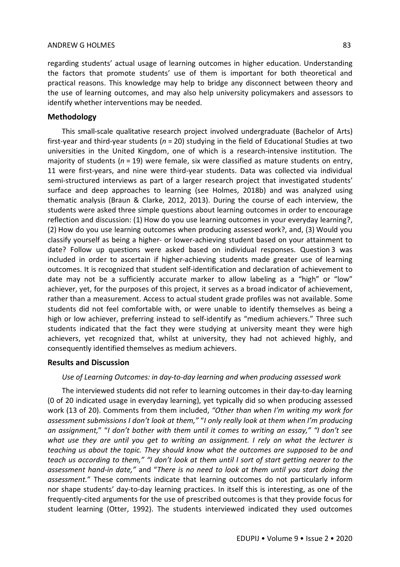regarding students' actual usage of learning outcomes in higher education. Understanding the factors that promote students' use of them is important for both theoretical and practical reasons. This knowledge may help to bridge any disconnect between theory and the use of learning outcomes, and may also help university policymakers and assessors to identify whether interventions may be needed.

# **Methodology**

This small-scale qualitative research project involved undergraduate (Bachelor of Arts) first-year and third-year students (*n* = 20) studying in the field of Educational Studies at two universities in the United Kingdom, one of which is a research-intensive institution. The majority of students (*n* = 19) were female, six were classified as mature students on entry, 11 were first-years, and nine were third-year students. Data was collected via individual semi-structured interviews as part of a larger research project that investigated students' surface and deep approaches to learning (see Holmes, 2018b) and was analyzed using thematic analysis (Braun & Clarke, 2012, 2013). During the course of each interview, the students were asked three simple questions about learning outcomes in order to encourage reflection and discussion: (1) How do you use learning outcomes in your everyday learning?, (2) How do you use learning outcomes when producing assessed work?, and, (3) Would you classify yourself as being a higher- or lower-achieving student based on your attainment to date? Follow up questions were asked based on individual responses. Question 3 was included in order to ascertain if higher-achieving students made greater use of learning outcomes. It is recognized that student self-identification and declaration of achievement to date may not be a sufficiently accurate marker to allow labeling as a "high" or "low" achiever, yet, for the purposes of this project, it serves as a broad indicator of achievement, rather than a measurement. Access to actual student grade profiles was not available. Some students did not feel comfortable with, or were unable to identify themselves as being a high or low achiever, preferring instead to self-identify as "medium achievers." Three such students indicated that the fact they were studying at university meant they were high achievers, yet recognized that, whilst at university, they had not achieved highly, and consequently identified themselves as medium achievers.

# **Results and Discussion**

*Use of Learning Outcomes: in day-to-day learning and when producing assessed work*

The interviewed students did not refer to learning outcomes in their day-to-day learning (0 of 20 indicated usage in everyday learning), yet typically did so when producing assessed work (13 of 20). Comments from them included, *"Other than when I'm writing my work for assessment submissions I don't look at them,"* "*I only really look at them when I'm producing an assignment,*" "*I don't bother with them until it comes to writing an essay," "I don't see what use they are until you get to writing an assignment. I rely on what the lecturer is teaching us about the topic. They should know what the outcomes are supposed to be and teach us according to them," "I don't look at them until I sort of start getting nearer to the assessment hand-in date,"* and "*There is no need to look at them until you start doing the assessment.*" These comments indicate that learning outcomes do not particularly inform nor shape students' day-to-day learning practices. In itself this is interesting, as one of the frequently-cited arguments for the use of prescribed outcomes is that they provide focus for student learning (Otter, 1992). The students interviewed indicated they used outcomes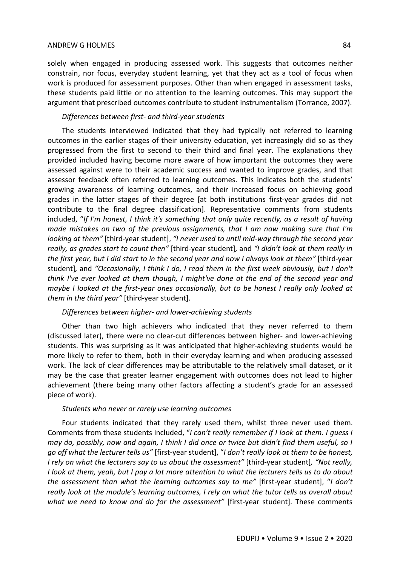solely when engaged in producing assessed work. This suggests that outcomes neither constrain, nor focus, everyday student learning, yet that they act as a tool of focus when work is produced for assessment purposes. Other than when engaged in assessment tasks, these students paid little or no attention to the learning outcomes. This may support the argument that prescribed outcomes contribute to student instrumentalism (Torrance, 2007).

# *Differences between first- and third-year students*

The students interviewed indicated that they had typically not referred to learning outcomes in the earlier stages of their university education, yet increasingly did so as they progressed from the first to second to their third and final year. The explanations they provided included having become more aware of how important the outcomes they were assessed against were to their academic success and wanted to improve grades, and that assessor feedback often referred to learning outcomes. This indicates both the students' growing awareness of learning outcomes, and their increased focus on achieving good grades in the latter stages of their degree [at both institutions first-year grades did not contribute to the final degree classification]. Representative comments from students included, "*If I'm honest, I think it's something that only quite recently, as a result of having made mistakes on two of the previous assignments, that I am now making sure that I'm looking at them"* [third-year student], *"I never used to until mid-way through the second year really, as grades start to count then"* [third-year student]*,* and *"I didn't look at them really in the first year, but I did start to in the second year and now I always look at them"* [third-year student]*,* and *"Occasionally, I think I do, I read them in the first week obviously, but I don't think I've ever looked at them though, I might've done at the end of the second year and maybe I looked at the first-year ones occasionally, but to be honest I really only looked at them in the third year"* [third-year student].

#### *Differences between higher- and lower-achieving students*

Other than two high achievers who indicated that they never referred to them (discussed later), there were no clear-cut differences between higher- and lower-achieving students. This was surprising as it was anticipated that higher-achieving students would be more likely to refer to them, both in their everyday learning and when producing assessed work. The lack of clear differences may be attributable to the relatively small dataset, or it may be the case that greater learner engagement with outcomes does not lead to higher achievement (there being many other factors affecting a student's grade for an assessed piece of work).

### *Students who never or rarely use learning outcomes*

Four students indicated that they rarely used them, whilst three never used them. Comments from these students included, "*I can't really remember if I look at them. I guess I may do, possibly, now and again, I think I did once or twice but didn't find them useful, so I go off what the lecturer tells us"* [first-year student], "*I don't really look at them to be honest, I rely on what the lecturers say to us about the assessment"* [third-year student]*, "Not really, I look at them, yeah, but I pay a lot more attention to what the lecturers tells us to do about the assessment than what the learning outcomes say to me"* [first-year student], "*I don't really look at the module's learning outcomes, I rely on what the tutor tells us overall about what we need to know and do for the assessment"* [first-year student]. These comments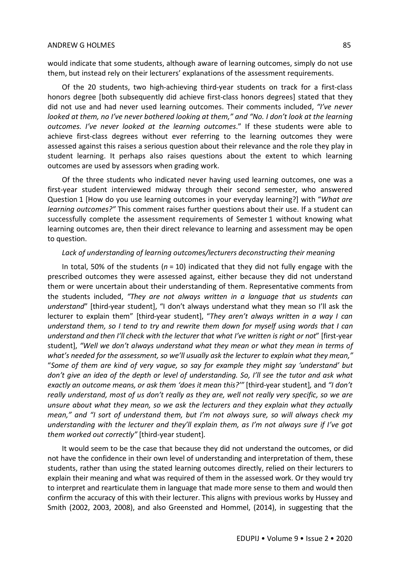would indicate that some students, although aware of learning outcomes, simply do not use them, but instead rely on their lecturers' explanations of the assessment requirements.

Of the 20 students, two high-achieving third-year students on track for a first-class honors degree [both subsequently did achieve first-class honors degrees] stated that they did not use and had never used learning outcomes. Their comments included, *"I've never looked at them, no I've never bothered looking at them," and "No. I don't look at the learning outcomes. I've never looked at the learning outcomes*." If these students were able to achieve first-class degrees without ever referring to the learning outcomes they were assessed against this raises a serious question about their relevance and the role they play in student learning. It perhaps also raises questions about the extent to which learning outcomes are used by assessors when grading work.

Of the three students who indicated never having used learning outcomes, one was a first-year student interviewed midway through their second semester, who answered Question 1 [How do you use learning outcomes in your everyday learning?] with "*What are learning outcomes?"* This comment raises further questions about their use. If a student can successfully complete the assessment requirements of Semester 1 without knowing what learning outcomes are, then their direct relevance to learning and assessment may be open to question.

#### Lack of understanding of learning outcomes/lecturers deconstructing their meaning

In total, 50% of the students (*n* = 10) indicated that they did not fully engage with the prescribed outcomes they were assessed against, either because they did not understand them or were uncertain about their understanding of them. Representative comments from the students included, *"They are not always written in a language that us students can understand*" [third-year student], "I don't always understand what they mean so I'll ask the lecturer to explain them" [third-year student], "*They aren't always written in a way I can understand them, so I tend to try and rewrite them down for myself using words that I can understand and then I'll check with the lecturer that what I've written is right or not*" [first-year student], *"Well we don't always understand what they mean or what they mean in terms of what's needed for the assessment, so we'll usually ask the lecturer to explain what they mean,"*  "*Some of them are kind of very vague, so say for example they might say 'understand' but don't give an idea of the depth or level of understanding. So, I'll see the tutor and ask what exactly an outcome means, or ask them 'does it mean this?'"* [third-year student]*,* and *"I don't really understand, most of us don't really as they are, well not really very specific, so we are unsure about what they mean, so we ask the lecturers and they explain what they actually mean," and "I sort of understand them, but I'm not always sure, so will always check my understanding with the lecturer and they'll explain them, as I'm not always sure if I've got them worked out correctly"* [third-year student]*.*

It would seem to be the case that because they did not understand the outcomes, or did not have the confidence in their own level of understanding and interpretation of them, these students, rather than using the stated learning outcomes directly, relied on their lecturers to explain their meaning and what was required of them in the assessed work. Or they would try to interpret and rearticulate them in language that made more sense to them and would then confirm the accuracy of this with their lecturer. This aligns with previous works by Hussey and Smith (2002, 2003, 2008), and also Greensted and Hommel, (2014), in suggesting that the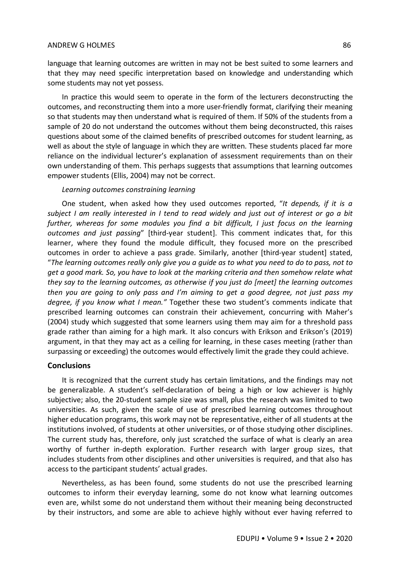language that learning outcomes are written in may not be best suited to some learners and that they may need specific interpretation based on knowledge and understanding which some students may not yet possess.

In practice this would seem to operate in the form of the lecturers deconstructing the outcomes, and reconstructing them into a more user-friendly format, clarifying their meaning so that students may then understand what is required of them. If 50% of the students from a sample of 20 do not understand the outcomes without them being deconstructed, this raises questions about some of the claimed benefits of prescribed outcomes for student learning, as well as about the style of language in which they are written. These students placed far more reliance on the individual lecturer's explanation of assessment requirements than on their own understanding of them. This perhaps suggests that assumptions that learning outcomes empower students (Ellis, 2004) may not be correct.

### *Learning outcomes constraining learning*

One student, when asked how they used outcomes reported, "*It depends, if it is a subject I am really interested in I tend to read widely and just out of interest or go a bit further, whereas for some modules you find a bit difficult, I just focus on the learning outcomes and just passing*" [third-year student]. This comment indicates that, for this learner, where they found the module difficult, they focused more on the prescribed outcomes in order to achieve a pass grade. Similarly, another [third-year student] stated, "*The learning outcomes really only give you a guide as to what you need to do to pass, not to get a good mark. So, you have to look at the marking criteria and then somehow relate what they say to the learning outcomes, as otherwise if you just do [meet] the learning outcomes then you are going to only pass and I'm aiming to get a good degree, not just pass my degree, if you know what I mean."* Together these two student's comments indicate that prescribed learning outcomes can constrain their achievement, concurring with Maher's (2004) study which suggested that some learners using them may aim for a threshold pass grade rather than aiming for a high mark. It also concurs with Erikson and Erikson's (2019) argument, in that they may act as a ceiling for learning, in these cases meeting (rather than surpassing or exceeding) the outcomes would effectively limit the grade they could achieve.

## **Conclusions**

It is recognized that the current study has certain limitations, and the findings may not be generalizable. A student's self-declaration of being a high or low achiever is highly subjective; also, the 20-student sample size was small, plus the research was limited to two universities. As such, given the scale of use of prescribed learning outcomes throughout higher education programs, this work may not be representative, either of all students at the institutions involved, of students at other universities, or of those studying other disciplines. The current study has, therefore, only just scratched the surface of what is clearly an area worthy of further in-depth exploration. Further research with larger group sizes, that includes students from other disciplines and other universities is required, and that also has access to the participant students' actual grades.

Nevertheless, as has been found, some students do not use the prescribed learning outcomes to inform their everyday learning, some do not know what learning outcomes even are, whilst some do not understand them without their meaning being deconstructed by their instructors, and some are able to achieve highly without ever having referred to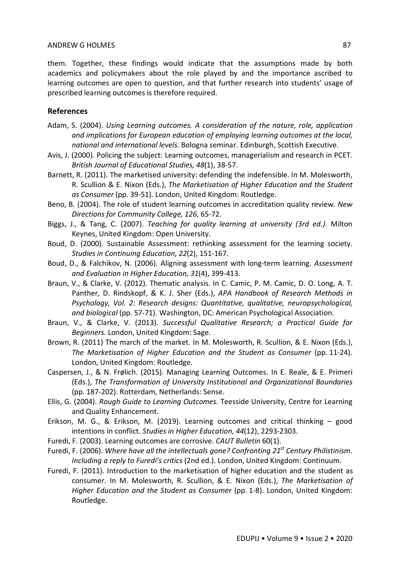them. Together, these findings would indicate that the assumptions made by both academics and policymakers about the role played by and the importance ascribed to learning outcomes are open to question, and that further research into students' usage of prescribed learning outcomes is therefore required.

# **References**

- Adam, S. (2004). *Using Learning outcomes. A consideration of the nature, role, application and implications for European education of employing learning outcomes at the local, national and international levels.* Bologna seminar. Edinburgh, Scottish Executive.
- Avis, J. (2000). Policing the subject: Learning outcomes, managerialism and research in PCET. *British Journal of Educational Studies, 48*(1), 38-57.
- Barnett, R. (2011). The marketised university: defending the indefensible. In M. Molesworth, R. Scullion & E. Nixon (Eds.), *The Marketisation of Higher Education and the Student as Consumer* (pp. 39-51). London, United Kingdom: Routledge.
- Beno, B. (2004). The role of student learning outcomes in accreditation quality review*. New Directions for Community College, 126*, 65-72.
- Biggs, J., & Tang, C. (2007). *Teaching for quality learning at university (3rd ed.).* Milton Keynes, United Kingdom: Open University.
- Boud, D. (2000). Sustainable Assessment: rethinking assessment for the learning society. *Studies in Continuing Education, 22*(2), 151-167.
- Boud, D., & Falchikov, N. (2006). Aligning assessment with long-term learning. *Assessment and Evaluation in Higher Education, 31*(4), 399-413.
- Braun, V., & Clarke, V. (2012). Thematic analysis. In C. Camic, P. M. Camic, D. O. Long, A. T. Panther, D. Rindskopf, & K. J. Sher (Eds.), *APA Handbook of Research Methods in Psychology, Vol. 2: Research designs: Quantitative, qualitative, neuropsychological, and biological* (pp. 57-71). Washington, DC: American Psychological Association.
- Braun, V., & Clarke, V. (2013). *Successful Qualitative Research; a Practical Guide for Beginners.* London, United Kingdom: Sage.
- Brown, R. (2011) The march of the market. In M. Molesworth, R. Scullion, & E. Nixon (Eds.), *The Marketisation of Higher Education and the Student as Consumer* (pp. 11-24). London, United Kingdom: Routledge.
- Caspersen, J., & N. Frølich. (2015). Managing Learning Outcomes. In E. Reale, & E. Primeri (Eds.), *The Transformation of University Institutional and Organizational Boundaries* (pp. 187-202). Rotterdam, Netherlands: Sense.
- Ellis, G. (2004). *Rough Guide to Learning Outcomes.* Teesside University, Centre for Learning and Quality Enhancement.
- Erikson, M. G., & Erikson, M. (2019). Learning outcomes and critical thinking good intentions in conflict. *Studies in Higher Education, 44*(12), 2293-2303.
- Furedi, F. (2003). Learning outcomes are corrosive. *CAUT Bulletin* 60(1).
- Furedi, F. (2006). *Where have all the intellectuals gone? Confronting 21st Century Philistinism. Including a reply to Furedi's critics* (2nd ed.). London, United Kingdom: Continuum.
- Furedi, F. (2011). Introduction to the marketisation of higher education and the student as consumer. In M. Molesworth, R. Scullion, & E. Nixon (Eds.), *The Marketisation of Higher Education and the Student as Consumer* (pp. 1-8). London, United Kingdom: Routledge.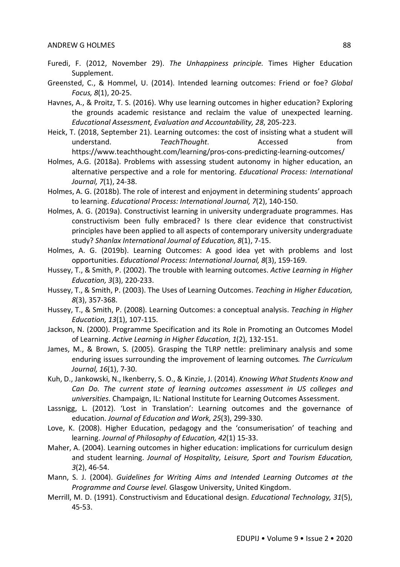- Furedi, F. (2012, November 29). *The Unhappiness principle.* Times Higher Education Supplement.
- Greensted, C., & Hommel, U. (2014). Intended learning outcomes: Friend or foe? *Global Focus, 8*(1), 20-25.
- Havnes, A., & Proitz, T. S. (2016). Why use learning outcomes in higher education? Exploring the grounds academic resistance and reclaim the value of unexpected learning. *Educational Assessment, Evaluation and Accountability, 28*, 205-223.
- Heick, T. (2018, September 21). Learning outcomes: the cost of insisting what a student will understand. *TeachThought*. Accessed from https://www.teachthought.com/learning/pros-cons-predicting-learning-outcomes/
- Holmes, A.G. (2018a). Problems with assessing student autonomy in higher education, an alternative perspective and a role for mentoring. *Educational Process: International Journal, 7*(1), 24-38.
- Holmes, A. G. (2018b). The role of interest and enjoyment in determining students' approach to learning. *Educational Process: International Journal, 7*(2), 140-150.
- Holmes, A. G. (2019a). Constructivist learning in university undergraduate programmes. Has constructivism been fully embraced? Is there clear evidence that constructivist principles have been applied to all aspects of contemporary university undergraduate study? *Shanlax International Journal of Education, 8*(1), 7-15.
- Holmes, A. G. (2019b). Learning Outcomes: A good idea yet with problems and lost opportunities. *Educational Process: International Journal, 8*(3), 159-169.
- Hussey, T., & Smith, P. (2002). The trouble with learning outcomes. *Active Learning in Higher Education, 3*(3), 220-233.
- Hussey, T., & Smith, P. (2003). The Uses of Learning Outcomes. *Teaching in Higher Education, 8*(3), 357-368.
- Hussey, T., & Smith, P. (2008). Learning Outcomes: a conceptual analysis. *Teaching in Higher Education, 13*(1), 107-115.
- Jackson, N. (2000). Programme Specification and its Role in Promoting an Outcomes Model of Learning. *Active Learning in Higher Education, 1*(2), 132-151.
- James, M., & Brown, S. (2005). Grasping the TLRP nettle: preliminary analysis and some enduring issues surrounding the improvement of learning outcomes*. The Curriculum Journal, 16*(1), 7-30.
- Kuh, D., Jankowski, N., Ikenberry, S. O., & Kinzie, J. (2014). *Knowing What Students Know and Can Do. The current state of learning outcomes assessment in US colleges and universities*. Champaign, IL: National Institute for Learning Outcomes Assessment.
- Lassnigg, L. (2012). 'Lost in Translation': Learning outcomes and the governance of education. *Journal of Education and Work, 25*(3), 299-330.
- Love, K. (2008). Higher Education, pedagogy and the 'consumerisation' of teaching and learning. *Journal of Philosophy of Education, 42*(1) 15-33.
- Maher, A. (2004). Learning outcomes in higher education: implications for curriculum design and student learning. *Journal of Hospitality, Leisure, Sport and Tourism Education, 3*(2), 46-54.
- Mann, S. J. (2004). *Guidelines for Writing Aims and Intended Learning Outcomes at the Programme and Course level.* Glasgow University, United Kingdom.
- Merrill, M. D. (1991). Constructivism and Educational design. *Educational Technology, 31*(5), 45-53.